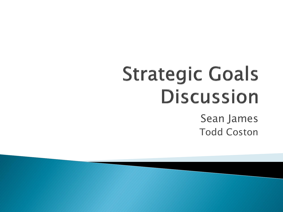#### **Strategic Goals Discussion** Sean James Todd Coston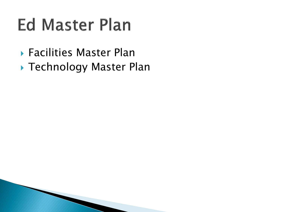#### **Ed Master Plan**

- Facilities Master Plan
- ▶ Technology Master Plan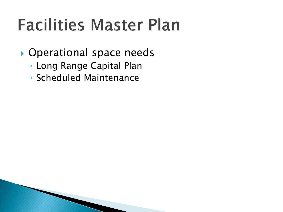#### **Facilities Master Plan**

- ▶ Operational space needs
	- Long Range Capital Plan
	- Scheduled Maintenance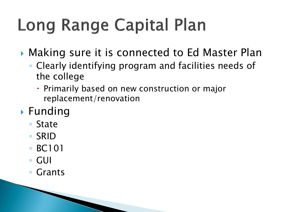# **Long Range Capital Plan**

▶ Making sure it is connected to Ed Master Plan

- Clearly identifying program and facilities needs of the college
	- Primarily based on new construction or major replacement/renovation
- **Funding** 
	- State
	- SRID
	- BC101
	- GUI
	- Grants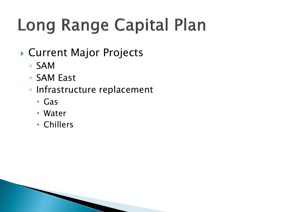# **Long Range Capital Plan**

- ▶ Current Major Projects
	- SAM
	- SAM East
	- Infrastructure replacement
		- Gas
		- Water
		- Chillers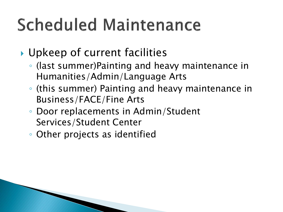### **Scheduled Maintenance**

#### ▶ Upkeep of current facilities

- (last summer)Painting and heavy maintenance in Humanities/Admin/Language Arts
- (this summer) Painting and heavy maintenance in Business/FACE/Fine Arts
- Door replacements in Admin/Student Services/Student Center
- Other projects as identified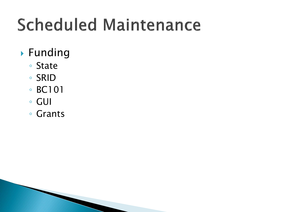### **Scheduled Maintenance**

- Funding
	- State
	- SRID
	- BC101
	- GUI
	- Grants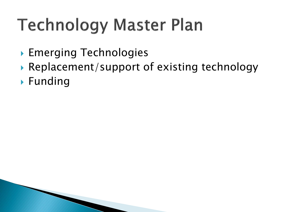# **Technology Master Plan**

- Emerging Technologies
- ▶ Replacement/support of existing technology
- ▶ Funding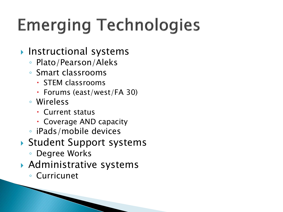### **Emerging Technologies**

#### **Instructional systems**

- Plato/Pearson/Aleks
- Smart classrooms
	- STEM classrooms
	- Forums (east/west/FA 30)
- Wireless
	- Current status
	- Coverage AND capacity
- iPads/mobile devices
- ▶ Student Support systems
	- Degree Works
- Administrative systems
	- Curricunet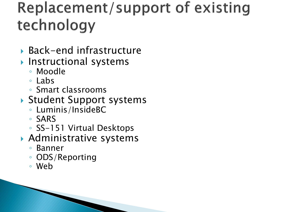#### **Replacement/support of existing** technology

- ▶ Back-end infrastructure
- **Instructional systems** 
	- Moodle
	- Labs
	- Smart classrooms
- Student Support systems
	- Luminis/InsideBC
	- SARS
	- SS-151 Virtual Desktops
- Administrative systems
	- Banner
	- ODS/Reporting
	- Web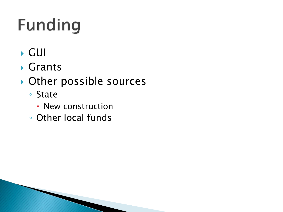# **Funding**

- GUI
- Grants
- ▶ Other possible sources
	- State
		- New construction
	- Other local funds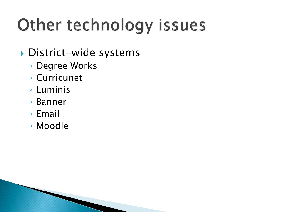# Other technology issues

#### District-wide systems

- Degree Works
- Curricunet
- Luminis
- Banner
- Email
- Moodle